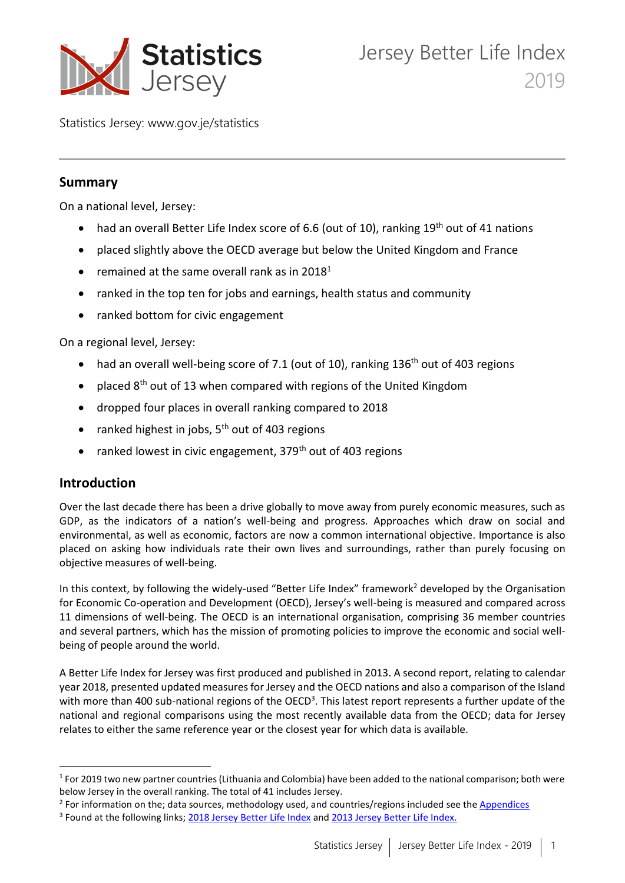

Statistics Jersey: www.gov.je/statistics

## **Summary**

On a national level, Jersey:

- had an overall Better Life Index score of 6.6 (out of 10), ranking 19<sup>th</sup> out of 41 nations
- placed slightly above the OECD average but below the United Kingdom and France
- remained at the same overall rank as in  $2018<sup>1</sup>$
- ranked in the top ten for jobs and earnings, health status and community
- ranked bottom for civic engagement

On a regional level, Jersey:

- had an overall well-being score of 7.1 (out of 10), ranking 136<sup>th</sup> out of 403 regions
- placed 8<sup>th</sup> out of 13 when compared with regions of the United Kingdom
- dropped four places in overall ranking compared to 2018
- ranked highest in jobs, 5<sup>th</sup> out of 403 regions
- ranked lowest in civic engagement,  $379<sup>th</sup>$  out of 403 regions

# **Introduction**

**.** 

Over the last decade there has been a drive globally to move away from purely economic measures, such as GDP, as the indicators of a nation's well-being and progress. Approaches which draw on social and environmental, as well as economic, factors are now a common international objective. Importance is also placed on asking how individuals rate their own lives and surroundings, rather than purely focusing on objective measures of well-being.

In this context, by following the widely-used "Better Life Index" framework<sup>2</sup> developed by the Organisation for Economic Co-operation and Development (OECD), Jersey's well-being is measured and compared across 11 dimensions of well-being. The OECD is an international organisation, comprising 36 member countries and several partners, which has the mission of promoting policies to improve the economic and social wellbeing of people around the world.

A Better Life Index for Jersey was first produced and published in 2013. A second report, relating to calendar year 2018, presented updated measures for Jersey and the OECD nations and also a comparison of the Island with more than 400 sub-national regions of the OECD<sup>3</sup>. This latest report represents a further update of the national and regional comparisons using the most recently available data from the OECD; data for Jersey relates to either the same reference year or the closest year for which data is available.

<sup>&</sup>lt;sup>1</sup> For 2019 two new partner countries (Lithuania and Colombia) have been added to the national comparison; both were below Jersey in the overall ranking. The total of 41 includes Jersey.

<sup>&</sup>lt;sup>2</sup> For information on the; data sources, methodology used, and countries/regions included see the *Appendices* 

<sup>&</sup>lt;sup>3</sup> Found at the following links; [2018 Jersey Better Life Index](https://www.gov.je/SiteCollectionDocuments/Government%20and%20administration/R%20JerseyBetterLifeIndex%2020190412%20SJ.pdf) and [2013 Jersey Better Life Index.](https://www.gov.je/SiteCollectionDocuments/Government%20and%20administration/R%20JerseysBetterLifeIndex%2020130322%20SU.pdf)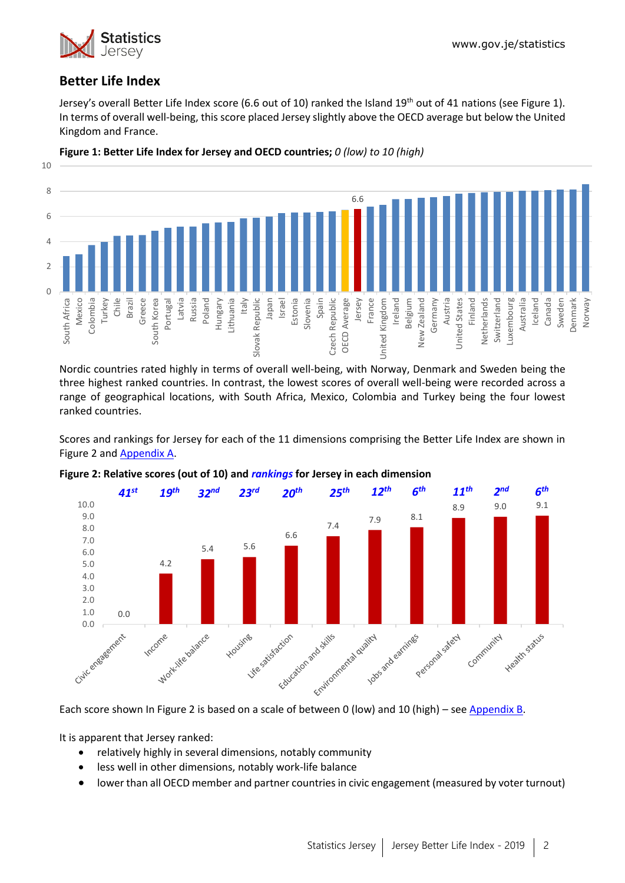

# **Better Life Index**

Jersey's overall Better Life Index score (6.6 out of 10) ranked the Island 19<sup>th</sup> out of 41 nations (see Figure 1). In terms of overall well-being, this score placed Jersey slightly above the OECD average but below the United Kingdom and France.



**Figure 1: Better Life Index for Jersey and OECD countries;** *0 (low) to 10 (high)*

Nordic countries rated highly in terms of overall well-being, with Norway, Denmark and Sweden being the three highest ranked countries. In contrast, the lowest scores of overall well-being were recorded across a range of geographical locations, with South Africa, Mexico, Colombia and Turkey being the four lowest ranked countries.

Scores and rankings for Jersey for each of the 11 dimensions comprising the Better Life Index are shown in Figure 2 and [Appendix A.](#page-18-0)



#### **Figure 2: Relative scores (out of 10) and** *rankings* **for Jersey in each dimension**

It is apparent that Jersey ranked:

- relatively highly in several dimensions, notably community
- less well in other dimensions, notably work-life balance
- lower than all OECD member and partner countries in civic engagement (measured by voter turnout)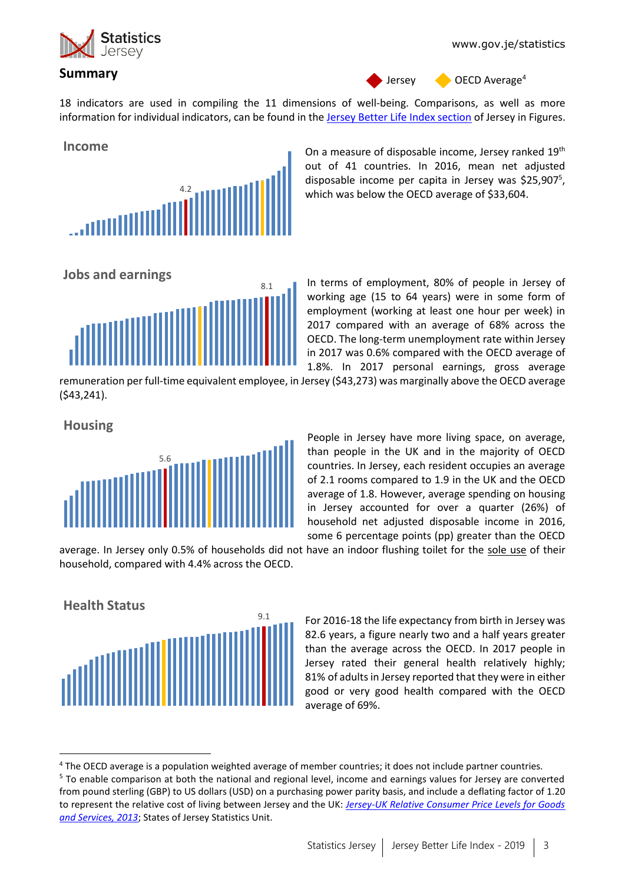

#### **Summary**<sup>4</sup>

Jersey **OECD** Average<sup>4</sup>

18 indicators are used in compiling the 11 dimensions of well-being. Comparisons, as well as more information for individual indicators, can be found in the [Jersey Better Life Index section](https://www.gov.je/Government/JerseyInFigures/HousingLiving/Pages/BetterLifeIndex.aspx) of Jersey in Figures.



On a measure of disposable income, Jersey ranked  $19<sup>th</sup>$ out of 41 countries. In 2016, mean net adjusted disposable income per capita in Jersey was \$25,907<sup>5</sup>, which was below the OECD average of \$33,604.





In terms of employment, 80% of people in Jersey of working age (15 to 64 years) were in some form of employment (working at least one hour per week) in 2017 compared with an average of 68% across the OECD. The long-term unemployment rate within Jersey in 2017 was 0.6% compared with the OECD average of 1.8%. In 2017 personal earnings, gross average

remuneration per full-time equivalent employee, in Jersey (\$43,273) was marginally above the OECD average (\$43,241).

**Housing**

**.** 



People in Jersey have more living space, on average, than people in the UK and in the majority of OECD countries. In Jersey, each resident occupies an average of 2.1 rooms compared to 1.9 in the UK and the OECD average of 1.8. However, average spending on housing in Jersey accounted for over a quarter (26%) of household net adjusted disposable income in 2016, some 6 percentage points (pp) greater than the OECD

average. In Jersey only 0.5% of households did not have an indoor flushing toilet for the sole use of their household, compared with 4.4% across the OECD.



For 2016-18 the life expectancy from birth in Jersey was 82.6 years, a figure nearly two and a half years greater than the average across the OECD. In 2017 people in Jersey rated their general health relatively highly; 81% of adults in Jersey reported that they were in either good or very good health compared with the OECD average of 69%.

<sup>4</sup> The OECD average is a population weighted average of member countries; it does not include partner countries.

<sup>5</sup> To enable comparison at both the national and regional level, income and earnings values for Jersey are converted from pound sterling (GBP) to US dollars (USD) on a purchasing power parity basis, and include a deflating factor of 1.20 to represent the relative cost of living between Jersey and the UK: *[Jersey-UK Relative Consumer Price Levels for Goods](https://www.gov.je/Government/Pages/StatesReports.aspx?ReportID=1031)  [and Services, 2013](https://www.gov.je/Government/Pages/StatesReports.aspx?ReportID=1031)*; States of Jersey Statistics Unit.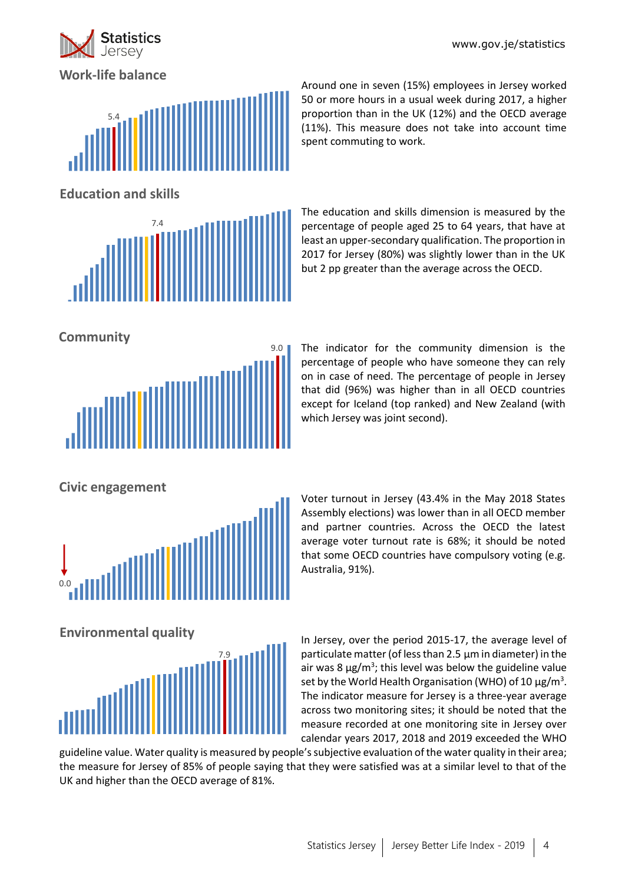

**Work-life balance**



Around one in seven (15%) employees in Jersey worked 50 or more hours in a usual week during 2017, a higher proportion than in the UK (12%) and the OECD average (11%). This measure does not take into account time spent commuting to work.

**Education and skills**



The education and skills dimension is measured by the percentage of people aged 25 to 64 years, that have at least an upper-secondary qualification. The proportion in 2017 for Jersey (80%) was slightly lower than in the UK but 2 pp greater than the average across the OECD.

**Community**



The indicator for the community dimension is the percentage of people who have someone they can rely on in case of need. The percentage of people in Jersey that did (96%) was higher than in all OECD countries except for Iceland (top ranked) and New Zealand (with which Jersey was joint second).

**Civic engagement**



Voter turnout in Jersey (43.4% in the May 2018 States Assembly elections) was lower than in all OECD member and partner countries. Across the OECD the latest average voter turnout rate is 68%; it should be noted that some OECD countries have compulsory voting (e.g. Australia, 91%).



In Jersey, over the period 2015-17, the average level of particulate matter (of less than 2.5 µm in diameter) in the air was 8  $\mu$ g/m<sup>3</sup>; this level was below the guideline value set by the World Health Organisation (WHO) of 10  $\mu$ g/m<sup>3</sup>. The indicator measure for Jersey is a three-year average across two monitoring sites; it should be noted that the measure recorded at one monitoring site in Jersey over calendar years 2017, 2018 and 2019 exceeded the WHO

guideline value. Water quality is measured by people's subjective evaluation of the water quality in their area; the measure for Jersey of 85% of people saying that they were satisfied was at a similar level to that of the UK and higher than the OECD average of 81%.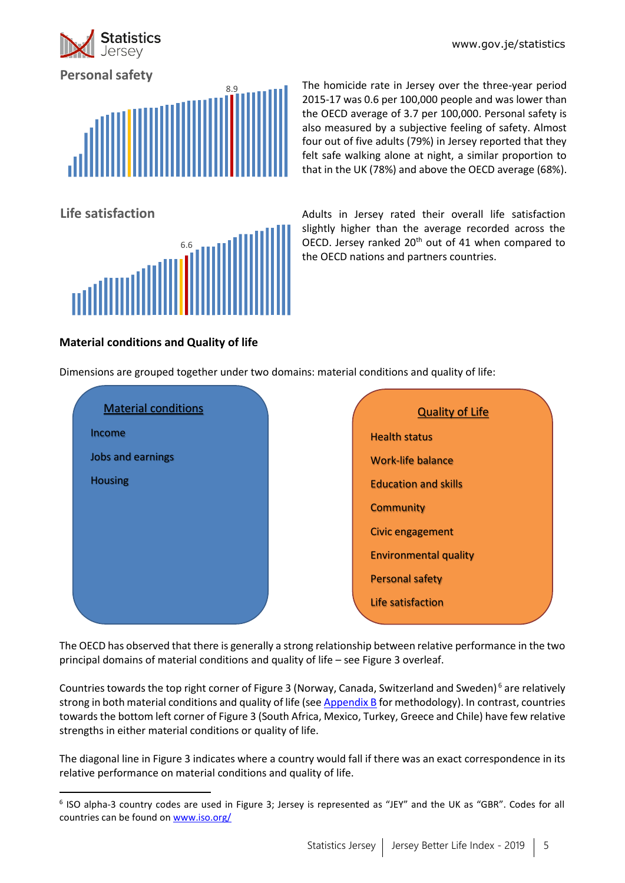www.gov.je/statistics



**Personal safety**

**Life satisfaction**



6.6

The homicide rate in Jersey over the three-year period 2015-17 was 0.6 per 100,000 people and was lower than the OECD average of 3.7 per 100,000. Personal safety is also measured by a subjective feeling of safety. Almost four out of five adults (79%) in Jersey reported that they felt safe walking alone at night, a similar proportion to that in the UK (78%) and above the OECD average (68%).

Adults in Jersey rated their overall life satisfaction slightly higher than the average recorded across the OECD. Jersey ranked 20<sup>th</sup> out of 41 when compared to the OECD nations and partners countries.

# **Material conditions and Quality of life**

1

Dimensions are grouped together under two domains: material conditions and quality of life:



The OECD has observed that there is generally a strong relationship between relative performance in the two principal domains of material conditions and quality of life – see Figure 3 overleaf.

Countries towards the top right corner of Figure 3 (Norway, Canada, Switzerland and Sweden)<sup>6</sup> are relatively strong in both material conditions and quality of life (se[e Appendix B](#page-19-0) for methodology). In contrast, countries towards the bottom left corner of Figure 3 (South Africa, Mexico, Turkey, Greece and Chile) have few relative strengths in either material conditions or quality of life.

The diagonal line in Figure 3 indicates where a country would fall if there was an exact correspondence in its relative performance on material conditions and quality of life.

<sup>6</sup> ISO alpha-3 country codes are used in Figure 3; Jersey is represented as "JEY" and the UK as "GBR". Codes for all countries can be found on [www.iso.org/](https://www.iso.org/iso-3166-country-codes.html)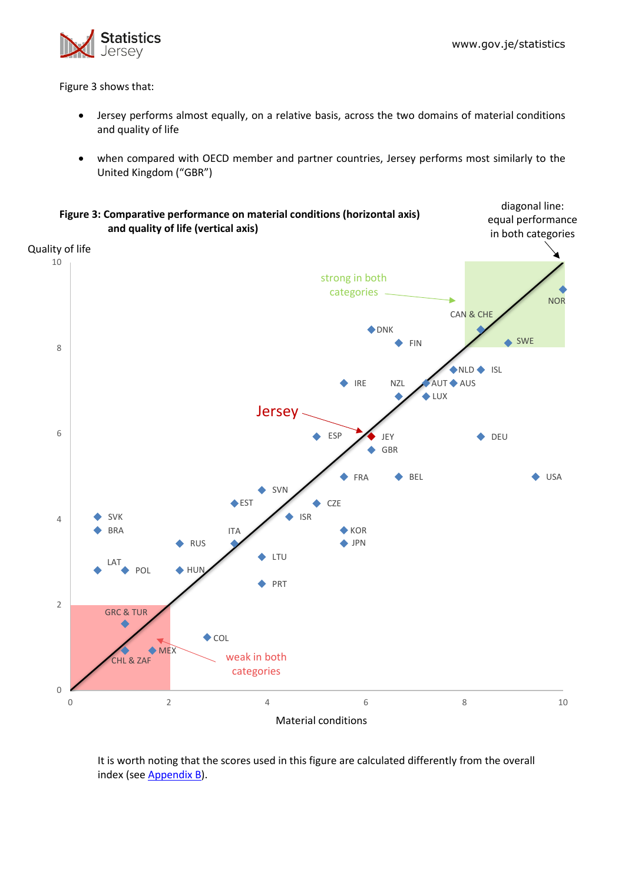

Figure 3 shows that:

- Jersey performs almost equally, on a relative basis, across the two domains of material conditions and quality of life
- when compared with OECD member and partner countries, Jersey performs most similarly to the United Kingdom ("GBR")



It is worth noting that the scores used in this figure are calculated differently from the overall index (see [Appendix B\)](#page-19-0).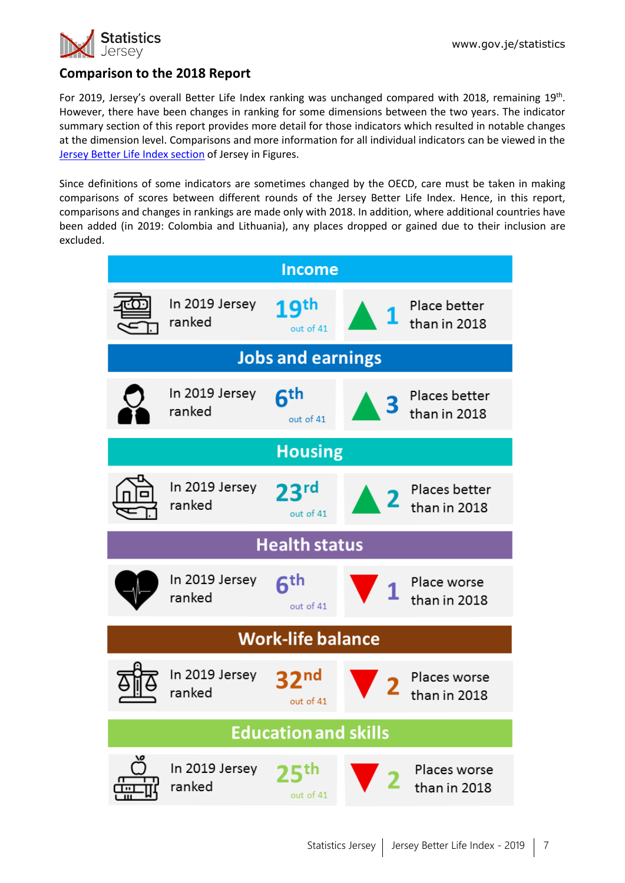

# **Comparison to the 2018 Report**

For 2019, Jersey's overall Better Life Index ranking was unchanged compared with 2018, remaining 19<sup>th</sup>. However, there have been changes in ranking for some dimensions between the two years. The indicator summary section of this report provides more detail for those indicators which resulted in notable changes at the dimension level. Comparisons and more information for all individual indicators can be viewed in the [Jersey Better Life Index section](https://www.gov.je/Government/JerseyInFigures/HousingLiving/Pages/BetterLifeIndex.aspx) of Jersey in Figures.

Since definitions of some indicators are sometimes changed by the OECD, care must be taken in making comparisons of scores between different rounds of the Jersey Better Life Index. Hence, in this report, comparisons and changes in rankings are made only with 2018. In addition, where additional countries have been added (in 2019: Colombia and Lithuania), any places dropped or gained due to their inclusion are excluded.

| <b>Income</b>            |                          |                               |              |                               |  |  |  |  |  |
|--------------------------|--------------------------|-------------------------------|--------------|-------------------------------|--|--|--|--|--|
|                          | In 2019 Jersey<br>ranked | 19 <sup>th</sup><br>out of 41 |              | Place better<br>than in 2018  |  |  |  |  |  |
| <b>Jobs and earnings</b> |                          |                               |              |                               |  |  |  |  |  |
|                          | In 2019 Jersey<br>ranked | 6 <sup>th</sup><br>out of 41  |              | Places better<br>than in 2018 |  |  |  |  |  |
|                          |                          | <b>Housing</b>                |              |                               |  |  |  |  |  |
|                          | In 2019 Jersey<br>ranked | 23 <sup>rd</sup><br>out of 41 |              | Places better<br>than in 2018 |  |  |  |  |  |
|                          | <b>Health status</b>     |                               |              |                               |  |  |  |  |  |
|                          | In 2019 Jersey<br>ranked | $6^{\text{th}}$<br>out of 41  | $\mathbf{1}$ | Place worse<br>than in 2018   |  |  |  |  |  |
|                          |                          | <b>Work-life balance</b>      |              |                               |  |  |  |  |  |
|                          | In 2019 Jersey<br>ranked | 2 <sub>nd</sub><br>out of 41  |              | Places worse<br>than in 2018  |  |  |  |  |  |
|                          |                          | <b>Education and skills</b>   |              |                               |  |  |  |  |  |
|                          | In 2019 Jersey<br>ranked | th<br>out of 41               |              | Places worse<br>than in 2018  |  |  |  |  |  |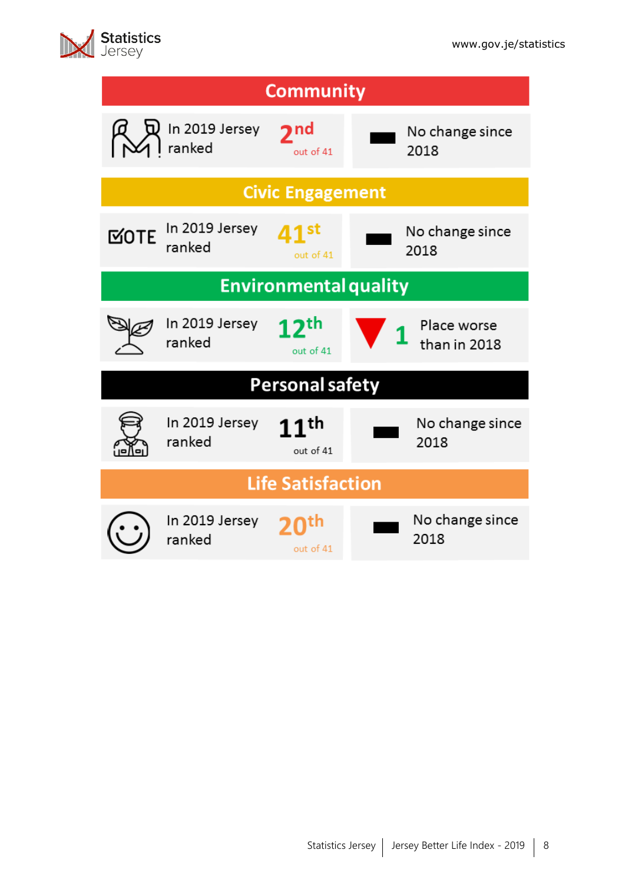

|               | <b>Statistics</b> |
|---------------|-------------------|
| $\bm{\times}$ | Jersev            |

| <b>Community</b>         |                              |                               |                             |  |  |  |  |  |  |
|--------------------------|------------------------------|-------------------------------|-----------------------------|--|--|--|--|--|--|
|                          | In 2019 Jersey<br>ranked     | 2 <sub>nd</sub><br>out of 41  | No change since<br>2018     |  |  |  |  |  |  |
|                          |                              | <b>Civic Engagement</b>       |                             |  |  |  |  |  |  |
| <b>MOTE</b>              | In 2019 Jersey<br>ranked     | out of 41                     | No change since<br>2018     |  |  |  |  |  |  |
|                          | <b>Environmental quality</b> |                               |                             |  |  |  |  |  |  |
|                          | In 2019 Jersey<br>ranked     | 2 <sup>th</sup><br>out of 41  | Place worse<br>than in 2018 |  |  |  |  |  |  |
| <b>Personal safety</b>   |                              |                               |                             |  |  |  |  |  |  |
|                          | In 2019 Jersey<br>ranked     | 11 <sup>th</sup><br>out of 41 | No change since<br>2018     |  |  |  |  |  |  |
| <b>Life Satisfaction</b> |                              |                               |                             |  |  |  |  |  |  |
|                          | In 2019 Jersey<br>ranked     | out of 41                     | No change since<br>2018     |  |  |  |  |  |  |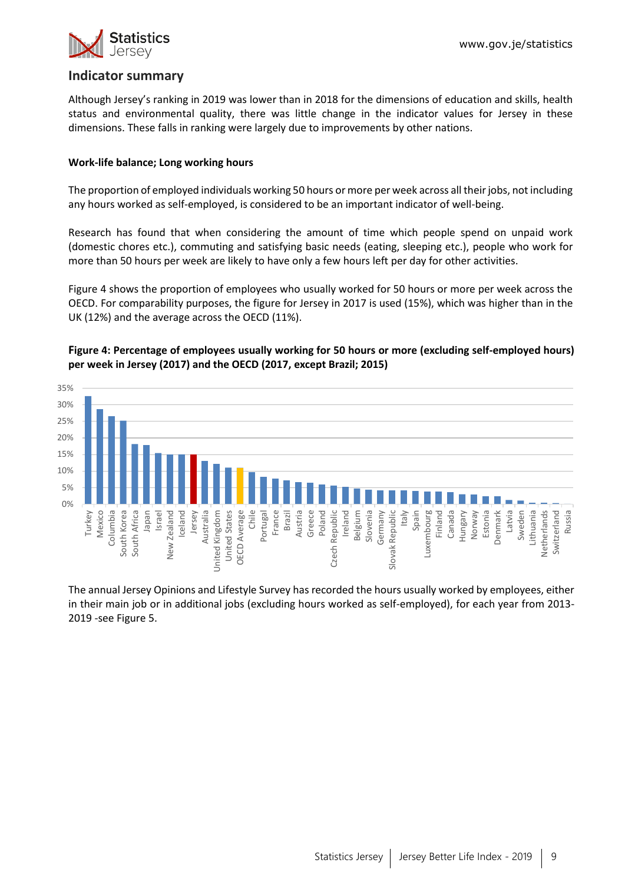

### **Indicator summary**

Although Jersey's ranking in 2019 was lower than in 2018 for the dimensions of education and skills, health status and environmental quality, there was little change in the indicator values for Jersey in these dimensions. These falls in ranking were largely due to improvements by other nations.

#### **Work-life balance; Long working hours**

The proportion of employed individuals working 50 hours or more per week across all their jobs, not including any hours worked as self-employed, is considered to be an important indicator of well-being.

Research has found that when considering the amount of time which people spend on unpaid work (domestic chores etc.), commuting and satisfying basic needs (eating, sleeping etc.), people who work for more than 50 hours per week are likely to have only a few hours left per day for other activities.

Figure 4 shows the proportion of employees who usually worked for 50 hours or more per week across the OECD. For comparability purposes, the figure for Jersey in 2017 is used (15%), which was higher than in the UK (12%) and the average across the OECD (11%).





The annual Jersey Opinions and Lifestyle Survey has recorded the hours usually worked by employees, either in their main job or in additional jobs (excluding hours worked as self-employed), for each year from 2013- 2019 -see Figure 5.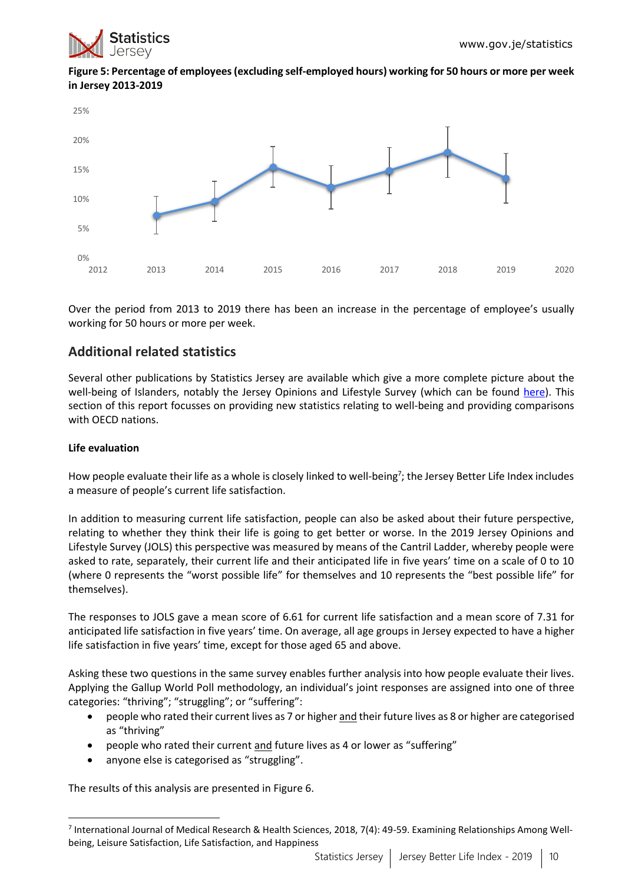



Over the period from 2013 to 2019 there has been an increase in the percentage of employee's usually working for 50 hours or more per week.

# **Additional related statistics**

Several other publications by Statistics Jersey are available which give a more complete picture about the well-being of Islanders, notably the Jersey Opinions and Lifestyle Survey (which can be found [here\)](https://www.gov.je/Government/JerseyInFigures/StatisticsCommunityPeople/Pages/SocialStatistics.aspx). This section of this report focusses on providing new statistics relating to well-being and providing comparisons with OECD nations.

#### **Life evaluation**

 $\overline{a}$ 

How people evaluate their life as a whole is closely linked to well-being<sup>7</sup>; the Jersey Better Life Index includes a measure of people's current life satisfaction.

In addition to measuring current life satisfaction, people can also be asked about their future perspective, relating to whether they think their life is going to get better or worse. In the 2019 Jersey Opinions and Lifestyle Survey (JOLS) this perspective was measured by means of the Cantril Ladder, whereby people were asked to rate, separately, their current life and their anticipated life in five years' time on a scale of 0 to 10 (where 0 represents the "worst possible life" for themselves and 10 represents the "best possible life" for themselves).

The responses to JOLS gave a mean score of 6.61 for current life satisfaction and a mean score of 7.31 for anticipated life satisfaction in five years' time. On average, all age groups in Jersey expected to have a higher life satisfaction in five years' time, except for those aged 65 and above.

Asking these two questions in the same survey enables further analysis into how people evaluate their lives. Applying the Gallup World Poll methodology, an individual's joint responses are assigned into one of three categories: "thriving"; "struggling"; or "suffering":

- people who rated their current lives as 7 or higher and their future lives as 8 or higher are categorised as "thriving"
- people who rated their current and future lives as 4 or lower as "suffering"
- anyone else is categorised as "struggling".

The results of this analysis are presented in Figure 6.

<sup>&</sup>lt;sup>7</sup> International Journal of Medical Research & Health Sciences, 2018, 7(4): 49-59. Examining Relationships Among Wellbeing, Leisure Satisfaction, Life Satisfaction, and Happiness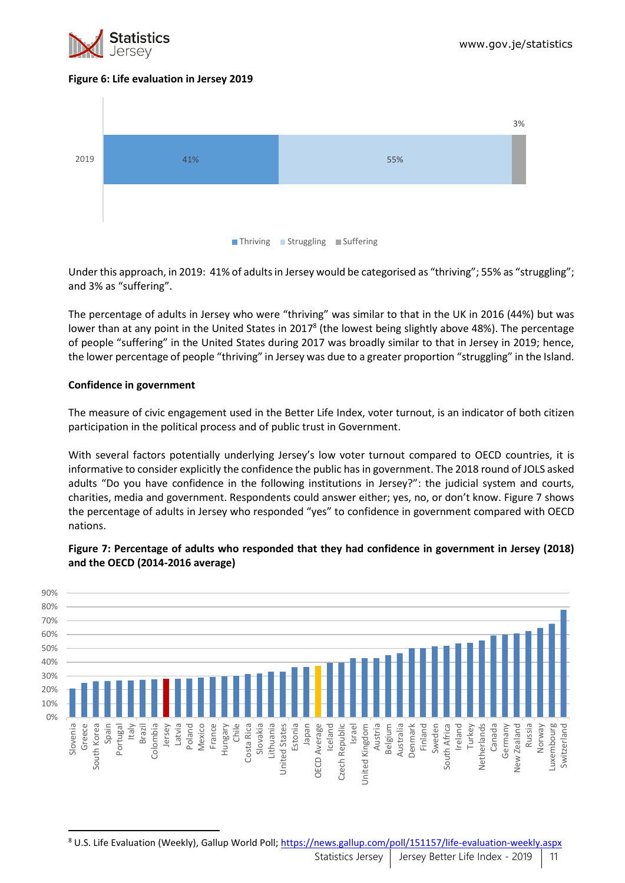

#### **Figure 6: Life evaluation in Jersey 2019**



Under this approach, in 2019: 41% of adults in Jersey would be categorised as "thriving"; 55% as "struggling"; and 3% as "suffering".

The percentage of adults in Jersey who were "thriving" was similar to that in the UK in 2016 (44%) but was lower than at any point in the United States in 2017<sup>8</sup> (the lowest being slightly above 48%). The percentage of people "suffering" in the United States during 2017 was broadly similar to that in Jersey in 2019; hence, the lower percentage of people "thriving" in Jersey was due to a greater proportion "struggling" in the Island.

#### **Confidence in government**

 $\overline{a}$ 

The measure of civic engagement used in the Better Life Index, voter turnout, is an indicator of both citizen participation in the political process and of public trust in Government.

With several factors potentially underlying Jersey's low voter turnout compared to OECD countries, it is informative to consider explicitly the confidence the public has in government. The 2018 round of JOLS asked adults "Do you have confidence in the following institutions in Jersey?": the judicial system and courts, charities, media and government. Respondents could answer either; yes, no, or don't know. Figure 7 shows the percentage of adults in Jersey who responded "yes" to confidence in government compared with OECD nations.



**Figure 7: Percentage of adults who responded that they had confidence in government in Jersey (2018) and the OECD (2014-2016 average)**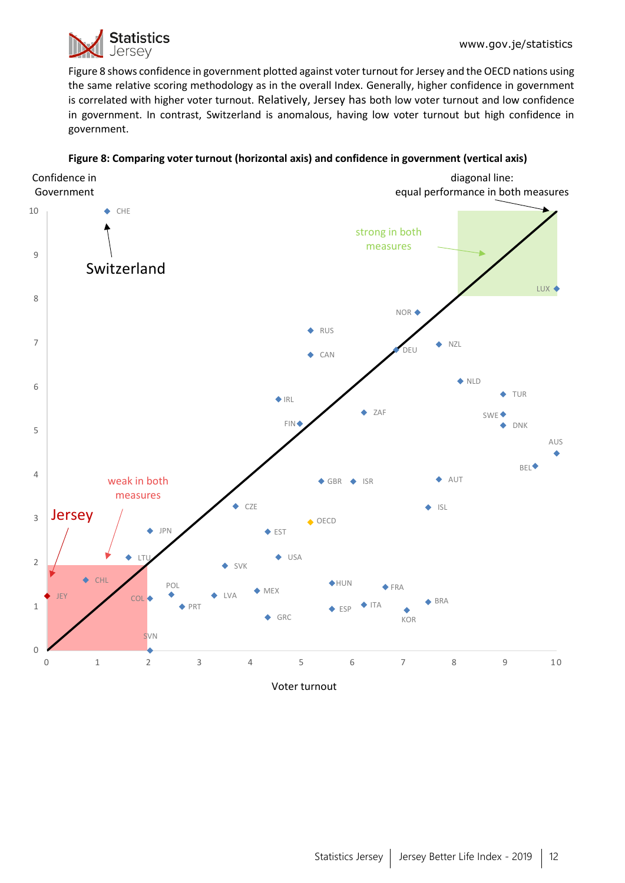

Figure 8 shows confidence in government plotted against voter turnout for Jersey and the OECD nations using the same relative scoring methodology as in the overall Index. Generally, higher confidence in government is correlated with higher voter turnout. Relatively, Jersey has both low voter turnout and low confidence in government. In contrast, Switzerland is anomalous, having low voter turnout but high confidence in government.



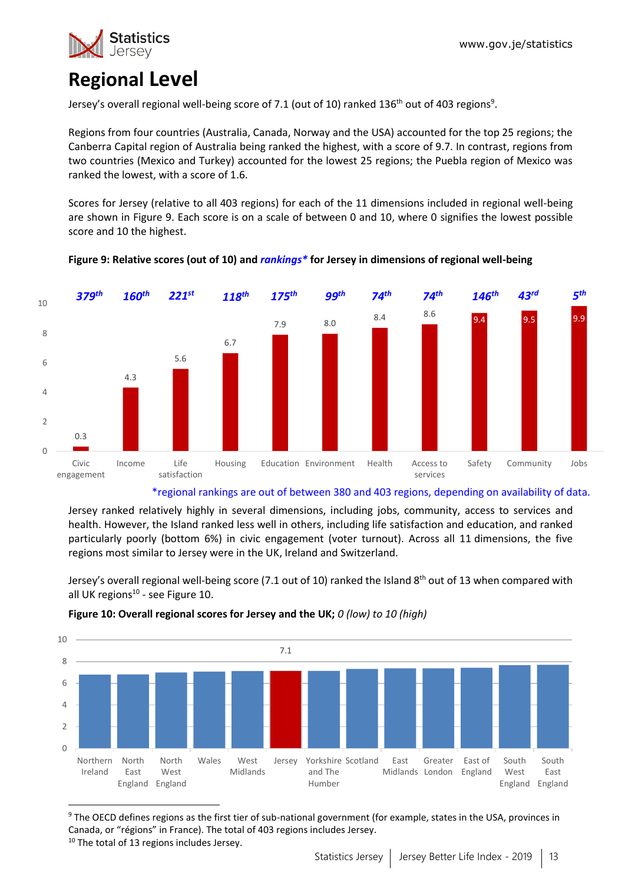

# **Regional Level**

Jersey's overall regional well-being score of 7.1 (out of 10) ranked 136<sup>th</sup> out of 403 regions<sup>9</sup>.

Regions from four countries (Australia, Canada, Norway and the USA) accounted for the top 25 regions; the Canberra Capital region of Australia being ranked the highest, with a score of 9.7. In contrast, regions from two countries (Mexico and Turkey) accounted for the lowest 25 regions; the Puebla region of Mexico was ranked the lowest, with a score of 1.6.

Scores for Jersey (relative to all 403 regions) for each of the 11 dimensions included in regional well-being are shown in Figure 9. Each score is on a scale of between 0 and 10, where 0 signifies the lowest possible score and 10 the highest.



#### **Figure 9: Relative scores (out of 10) and** *rankings\** **for Jersey in dimensions of regional well-being**

#### \*regional rankings are out of between 380 and 403 regions, depending on availability of data.

Jersey ranked relatively highly in several dimensions, including jobs, community, access to services and health. However, the Island ranked less well in others, including life satisfaction and education, and ranked particularly poorly (bottom 6%) in civic engagement (voter turnout). Across all 11 dimensions, the five regions most similar to Jersey were in the UK, Ireland and Switzerland.

Jersey's overall regional well-being score (7.1 out of 10) ranked the Island 8<sup>th</sup> out of 13 when compared with all UK regions<sup>10</sup> - see Figure 10.



#### **Figure 10: Overall regional scores for Jersey and the UK;** *0 (low) to 10 (high)*

<sup>&</sup>lt;sup>9</sup> The OECD defines regions as the first tier of sub-national government (for example, states in the USA, provinces in Canada, or "régions" in France). The total of 403 regions includes Jersey.

<sup>&</sup>lt;sup>10</sup> The total of 13 regions includes Jersey.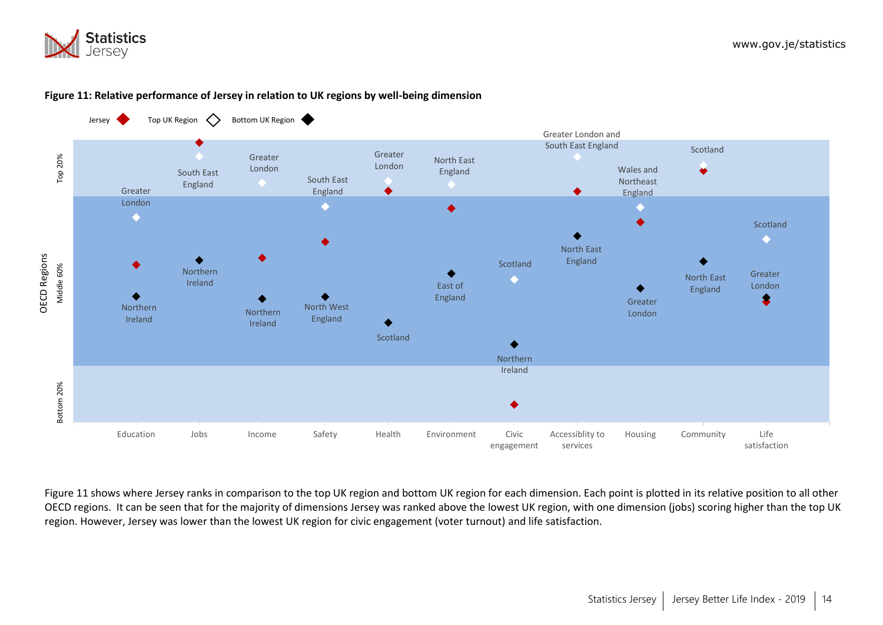



#### **Figure 11: Relative performance of Jersey in relation to UK regions by well-being dimension**

Figure 11 shows where Jersey ranks in comparison to the top UK region and bottom UK region for each dimension. Each point is plotted in its relative position to all other OECD regions. It can be seen that for the majority of dimensions Jersey was ranked above the lowest UK region, with one dimension (jobs) scoring higher than the top UK region. However, Jersey was lower than the lowest UK region for civic engagement (voter turnout) and life satisfaction.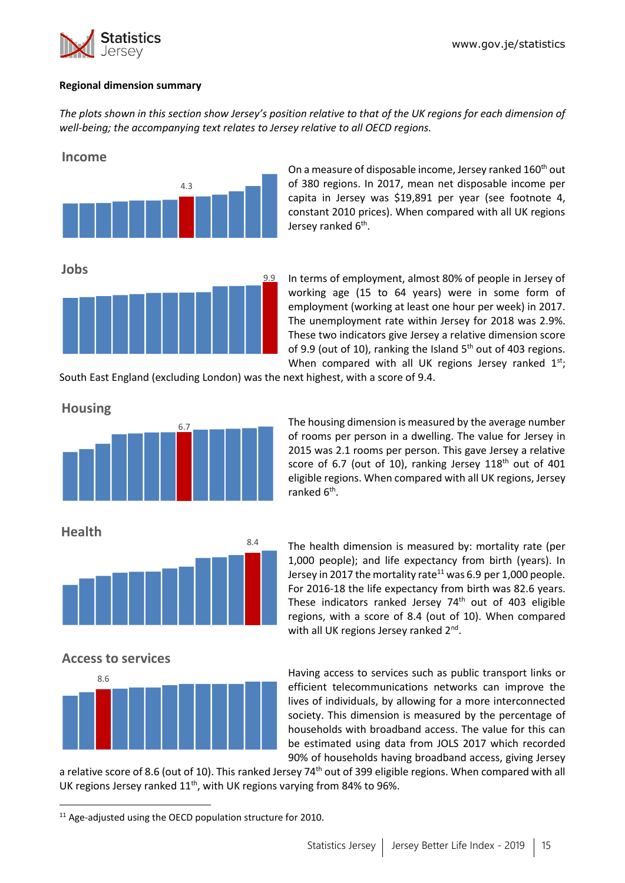

#### **Regional dimension summary**

*The plots shown in this section show Jersey's position relative to that of the UK regions for each dimension of well-being; the accompanying text relates to Jersey relative to all OECD regions.*



On a measure of disposable income, Jersey ranked 160<sup>th</sup> out of 380 regions. In 2017, mean net disposable income per capita in Jersey was \$19,891 per year (see footnote 4, constant 2010 prices). When compared with all UK regions Jersey ranked 6<sup>th</sup>.

In terms of employment, almost 80% of people in Jersey of working age (15 to 64 years) were in some form of employment (working at least one hour per week) in 2017. The unemployment rate within Jersey for 2018 was 2.9%. These two indicators give Jersey a relative dimension score of 9.9 (out of 10), ranking the Island  $5<sup>th</sup>$  out of 403 regions. When compared with all UK regions Jersey ranked  $1^{st}$ ;

South East England (excluding London) was the next highest, with a score of 9.4.

**Housing**



The housing dimension is measured by the average number of rooms per person in a dwelling. The value for Jersey in 2015 was 2.1 rooms per person. This gave Jersey a relative score of 6.7 (out of 10), ranking Jersey 118<sup>th</sup> out of 401 eligible regions. When compared with all UK regions, Jersey ranked 6<sup>th</sup>.

**Health**

**.** 



The health dimension is measured by: mortality rate (per 1,000 people); and life expectancy from birth (years). In Jersey in 2017 the mortality rate<sup>11</sup> was 6.9 per 1,000 people. For 2016-18 the life expectancy from birth was 82.6 years. These indicators ranked Jersey 74<sup>th</sup> out of 403 eligible regions, with a score of 8.4 (out of 10). When compared with all UK regions Jersey ranked 2<sup>nd</sup>.

**Access to services**



Having access to services such as public transport links or efficient telecommunications networks can improve the lives of individuals, by allowing for a more interconnected society. This dimension is measured by the percentage of households with broadband access. The value for this can be estimated using data from JOLS 2017 which recorded 90% of households having broadband access, giving Jersey

a relative score of 8.6 (out of 10). This ranked Jersey 74<sup>th</sup> out of 399 eligible regions. When compared with all UK regions Jersey ranked  $11<sup>th</sup>$ , with UK regions varying from 84% to 96%.

<sup>&</sup>lt;sup>11</sup> Age-adjusted using the OECD population structure for 2010.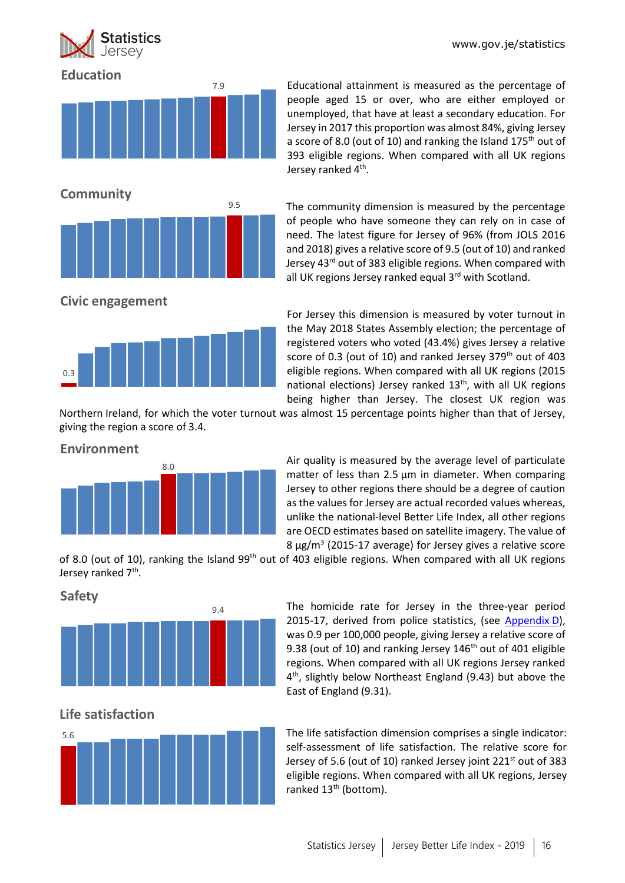www.gov.je/statistics



# 7.9 **Education** 9.5 **Community**

Educational attainment is measured as the percentage of people aged 15 or over, who are either employed or unemployed, that have at least a secondary education. For Jersey in 2017 this proportion was almost 84%, giving Jersey a score of 8.0 (out of 10) and ranking the Island  $175<sup>th</sup>$  out of 393 eligible regions. When compared with all UK regions Jersey ranked 4<sup>th</sup>.

The community dimension is measured by the percentage of people who have someone they can rely on in case of need. The latest figure for Jersey of 96% (from JOLS 2016 and 2018) gives a relative score of 9.5 (out of 10) and ranked Jersey 43rd out of 383 eligible regions. When compared with all UK regions Jersey ranked equal 3<sup>rd</sup> with Scotland.

**Civic engagement**



For Jersey this dimension is measured by voter turnout in the May 2018 States Assembly election; the percentage of registered voters who voted (43.4%) gives Jersey a relative score of 0.3 (out of 10) and ranked Jersey 379<sup>th</sup> out of 403 eligible regions. When compared with all UK regions (2015 national elections) Jersey ranked  $13<sup>th</sup>$ , with all UK regions being higher than Jersey. The closest UK region was

Northern Ireland, for which the voter turnout was almost 15 percentage points higher than that of Jersey, giving the region a score of 3.4.



Air quality is measured by the average level of particulate matter of less than 2.5 μm in diameter. When comparing Jersey to other regions there should be a degree of caution as the values for Jersey are actual recorded values whereas, unlike the national-level Better Life Index, all other regions are OECD estimates based on satellite imagery. The value of  $8 \mu g/m^3$  (2015-17 average) for Jersey gives a relative score

of 8.0 (out of 10), ranking the Island 99<sup>th</sup> out of 403 eligible regions. When compared with all UK regions Jersey ranked 7<sup>th</sup>.

**Safety**



The homicide rate for Jersey in the three-year period 2015-17, derived from police statistics, (see [Appendix](#page-21-0) D), was 0.9 per 100,000 people, giving Jersey a relative score of 9.38 (out of 10) and ranking Jersey 146<sup>th</sup> out of 401 eligible regions. When compared with all UK regions Jersey ranked 4 th, slightly below Northeast England (9.43) but above the East of England (9.31).

# **Life satisfaction**



The life satisfaction dimension comprises a single indicator: self-assessment of life satisfaction. The relative score for Jersey of 5.6 (out of 10) ranked Jersey joint 221<sup>st</sup> out of 383 eligible regions. When compared with all UK regions, Jersey ranked 13<sup>th</sup> (bottom).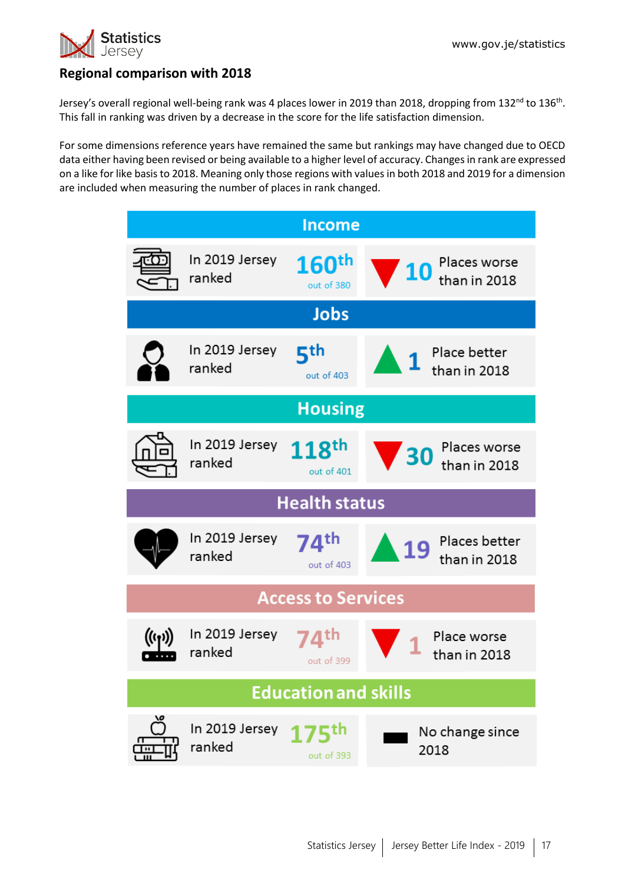

# **Regional comparison with 2018**

Jersey's overall regional well-being rank was 4 places lower in 2019 than 2018, dropping from 132<sup>nd</sup> to 136<sup>th</sup>. This fall in ranking was driven by a decrease in the score for the life satisfaction dimension.

For some dimensions reference years have remained the same but rankings may have changed due to OECD data either having been revised or being available to a higher level of accuracy. Changes in rank are expressed on a like for like basis to 2018. Meaning only those regions with valuesin both 2018 and 2019 for a dimension are included when measuring the number of places in rank changed.

| <b>Income</b>        |                          |                                 |                                                         |  |  |  |  |  |  |  |
|----------------------|--------------------------|---------------------------------|---------------------------------------------------------|--|--|--|--|--|--|--|
|                      | In 2019 Jersey<br>ranked | 160 <sup>th</sup><br>out of 380 | Places worse<br>than in 2018                            |  |  |  |  |  |  |  |
|                      |                          | <b>Jobs</b>                     |                                                         |  |  |  |  |  |  |  |
|                      | In 2019 Jersey<br>ranked | ςth<br>out of 403               | Place better<br>$\sqrt{1}$<br>than in 2018              |  |  |  |  |  |  |  |
| <b>Housing</b>       |                          |                                 |                                                         |  |  |  |  |  |  |  |
|                      | In 2019 Jersey<br>ranked | 118 <sup>th</sup><br>out of 401 | Places worse<br>$\blacktriangledown$ 30<br>than in 2018 |  |  |  |  |  |  |  |
| <b>Health status</b> |                          |                                 |                                                         |  |  |  |  |  |  |  |
|                      |                          |                                 |                                                         |  |  |  |  |  |  |  |
|                      | In 2019 Jersey<br>ranked | 74 <sup>th</sup><br>out of 403  | Places better<br>19<br>than in 2018                     |  |  |  |  |  |  |  |
|                      |                          | <b>Access to Services</b>       |                                                         |  |  |  |  |  |  |  |
|                      | In 2019 Jersey<br>ranked | ⊿th<br>out of 399               | Place worse<br>than in 2018                             |  |  |  |  |  |  |  |
|                      |                          | <b>Education and skills</b>     |                                                         |  |  |  |  |  |  |  |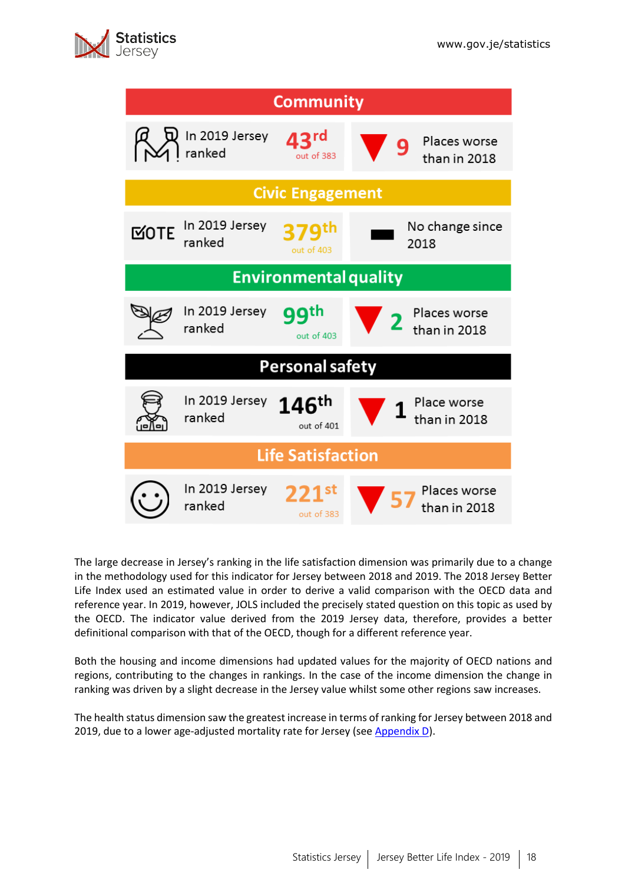

| <b>Community</b>         |                              |                                 |                                   |  |  |  |  |  |  |
|--------------------------|------------------------------|---------------------------------|-----------------------------------|--|--|--|--|--|--|
|                          | In 2019 Jersey<br>ranked     | <b>13rd</b><br>out of 383       | Places worse<br>9<br>than in 2018 |  |  |  |  |  |  |
|                          |                              | <b>Civic Engagement</b>         |                                   |  |  |  |  |  |  |
| <b>MOTE</b>              | In 2019 Jersey<br>ranked     | out of 403                      | No change since<br>2018           |  |  |  |  |  |  |
|                          | <b>Environmental quality</b> |                                 |                                   |  |  |  |  |  |  |
|                          | In 2019 Jersey<br>ranked     | QQth<br>out of 403              | Places worse<br>than in 2018      |  |  |  |  |  |  |
|                          |                              | <b>Personal safety</b>          |                                   |  |  |  |  |  |  |
|                          | In 2019 Jersey<br>ranked     | 146 <sup>th</sup><br>out of 401 | Place worse<br>than in 2018       |  |  |  |  |  |  |
| <b>Life Satisfaction</b> |                              |                                 |                                   |  |  |  |  |  |  |
|                          | In 2019 Jersey<br>ranked     | $221$ st<br>out of 383          | Places worse<br>than in 2018      |  |  |  |  |  |  |

The large decrease in Jersey's ranking in the life satisfaction dimension was primarily due to a change in the methodology used for this indicator for Jersey between 2018 and 2019. The 2018 Jersey Better Life Index used an estimated value in order to derive a valid comparison with the OECD data and reference year. In 2019, however, JOLS included the precisely stated question on this topic as used by the OECD. The indicator value derived from the 2019 Jersey data, therefore, provides a better definitional comparison with that of the OECD, though for a different reference year.

Both the housing and income dimensions had updated values for the majority of OECD nations and regions, contributing to the changes in rankings. In the case of the income dimension the change in ranking was driven by a slight decrease in the Jersey value whilst some other regions saw increases.

The health status dimension saw the greatest increase in terms of ranking for Jersey between 2018 and 2019, due to a lower age-adjusted mortality rate for Jersey (see [Appendix D\)](#page-21-1).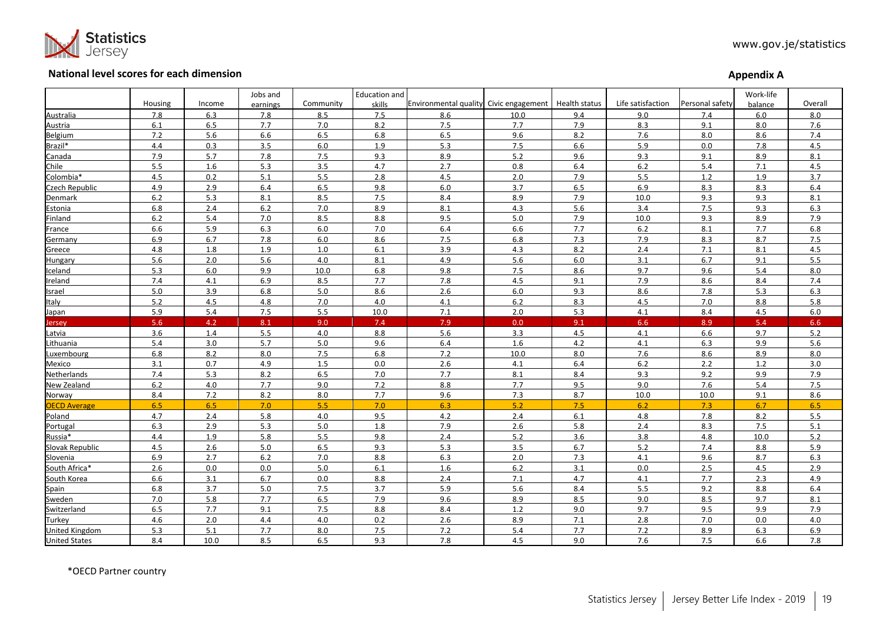

#### **National level scores for each dimension**

| <b>Appendix A</b> |  |
|-------------------|--|
|-------------------|--|

|                       |         |        | Jobs and |           | <b>Education and</b> |                                        |       |               |                   |                 | Work-life |         |
|-----------------------|---------|--------|----------|-----------|----------------------|----------------------------------------|-------|---------------|-------------------|-----------------|-----------|---------|
|                       | Housing | Income | earnings | Community | skills               | Environmental quality Civic engagement |       | Health status | Life satisfaction | Personal safety | balance   | Overall |
| Australia             | 7.8     | 6.3    | 7.8      | 8.5       | 7.5                  | 8.6                                    | 10.0  | 9.4           | 9.0               | 7.4             | 6.0       | 8.0     |
| Austria               | 6.1     | 6.5    | 7.7      | 7.0       | 8.2                  | 7.5                                    | 7.7   | 7.9           | 8.3               | 9.1             | 8.0       | 7.6     |
| Belgium               | 7.2     | 5.6    | 6.6      | 6.5       | 6.8                  | 6.5                                    | 9.6   | 8.2           | 7.6               | 8.0             | 8.6       | 7.4     |
| Brazil*               | 4.4     | 0.3    | 3.5      | 6.0       | 1.9                  | 5.3                                    | 7.5   | 6.6           | 5.9               | 0.0             | 7.8       | 4.5     |
| Canada                | 7.9     | 5.7    | 7.8      | 7.5       | 9.3                  | 8.9                                    | 5.2   | 9.6           | 9.3               | 9.1             | 8.9       | 8.1     |
| Chile                 | 5.5     | 1.6    | 5.3      | 3.5       | 4.7                  | 2.7                                    | 0.8   | 6.4           | $6.2$             | 5.4             | 7.1       | 4.5     |
| Colombia*             | 4.5     | 0.2    | 5.1      | 5.5       | 2.8                  | 4.5                                    | 2.0   | 7.9           | 5.5               | 1.2             | 1.9       | 3.7     |
| Czech Republic        | 4.9     | 2.9    | 6.4      | 6.5       | 9.8                  | 6.0                                    | 3.7   | 6.5           | 6.9               | 8.3             | 8.3       | 6.4     |
| Denmark               | $6.2$   | 5.3    | 8.1      | 8.5       | 7.5                  | 8.4                                    | 8.9   | 7.9           | 10.0              | 9.3             | 9.3       | 8.1     |
| Estonia               | 6.8     | 2.4    | 6.2      | 7.0       | 8.9                  | 8.1                                    | 4.3   | 5.6           | 3.4               | 7.5             | 9.3       | 6.3     |
| Finland               | $6.2$   | 5.4    | 7.0      | 8.5       | 8.8                  | 9.5                                    | 5.0   | 7.9           | 10.0              | 9.3             | 8.9       | 7.9     |
| France                | 6.6     | 5.9    | 6.3      | 6.0       | 7.0                  | 6.4                                    | 6.6   | 7.7           | 6.2               | 8.1             | 7.7       | 6.8     |
| Germany               | 6.9     | 6.7    | 7.8      | 6.0       | 8.6                  | 7.5                                    | 6.8   | 7.3           | 7.9               | 8.3             | 8.7       | 7.5     |
| Greece                | 4.8     | 1.8    | 1.9      | $1.0\,$   | 6.1                  | 3.9                                    | 4.3   | 8.2           | 2.4               | 7.1             | 8.1       | 4.5     |
| Hungary               | 5.6     | 2.0    | 5.6      | 4.0       | 8.1                  | 4.9                                    | 5.6   | 6.0           | 3.1               | 6.7             | 9.1       | 5.5     |
| Iceland               | 5.3     | 6.0    | 9.9      | 10.0      | 6.8                  | 9.8                                    | 7.5   | 8.6           | 9.7               | 9.6             | 5.4       | 8.0     |
| Ireland               | 7.4     | 4.1    | 6.9      | 8.5       | 7.7                  | 7.8                                    | 4.5   | 9.1           | 7.9               | 8.6             | 8.4       | 7.4     |
| Israel                | 5.0     | 3.9    | 6.8      | 5.0       | 8.6                  | 2.6                                    | 6.0   | 9.3           | 8.6               | 7.8             | 5.3       | 6.3     |
| Italy                 | 5.2     | 4.5    | 4.8      | 7.0       | 4.0                  | 4.1                                    | 6.2   | 8.3           | 4.5               | 7.0             | 8.8       | 5.8     |
| Japan                 | 5.9     | 5.4    | 7.5      | 5.5       | 10.0                 | 7.1                                    | 2.0   | 5.3           | 4.1               | 8.4             | 4.5       | 6.0     |
| Jersey                | 5.6     | 4.2    | 8.1      | 9.0       | 7.4                  | 7.9                                    | 0.0   | 9.1           | 6.6               | 8.9             | 5.4       | 6.6     |
| Latvia                | 3.6     | 1.4    | 5.5      | 4.0       | 8.8                  | 5.6                                    | 3.3   | 4.5           | 4.1               | 6.6             | 9.7       | 5.2     |
| Lithuania             | 5.4     | 3.0    | 5.7      | $5.0$     | 9.6                  | 6.4                                    | 1.6   | 4.2           | 4.1               | 6.3             | 9.9       | 5.6     |
| Luxembourg            | 6.8     | 8.2    | 8.0      | 7.5       | 6.8                  | 7.2                                    | 10.0  | 8.0           | 7.6               | 8.6             | 8.9       | 8.0     |
| Mexico                | 3.1     | 0.7    | 4.9      | 1.5       | 0.0                  | 2.6                                    | 4.1   | 6.4           | 6.2               | 2.2             | $1.2$     | 3.0     |
| Netherlands           | 7.4     | 5.3    | 8.2      | 6.5       | 7.0                  | 7.7                                    | 8.1   | 8.4           | 9.3               | 9.2             | 9.9       | 7.9     |
| New Zealand           | $6.2$   | 4.0    | 7.7      | 9.0       | 7.2                  | 8.8                                    | 7.7   | 9.5           | 9.0               | 7.6             | 5.4       | 7.5     |
| Norway                | 8.4     | 7.2    | 8.2      | $8.0\,$   | 7.7                  | 9.6                                    | 7.3   | 8.7           | 10.0              | 10.0            | 9.1       | 8.6     |
| <b>OECD Average</b>   | 6.5     | 6.5    | 7.0      | 5.5       | 7.0                  | 6.3                                    | 5.2   | 7.5           | 6.2               | 7.3             | 6.7       | 6.5     |
| Poland                | 4.7     | 2.4    | 5.8      | 4.0       | 9.5                  | 4.2                                    | 2.4   | 6.1           | 4.8               | 7.8             | 8.2       | 5.5     |
| Portugal              | 6.3     | 2.9    | 5.3      | 5.0       | 1.8                  | 7.9                                    | 2.6   | 5.8           | 2.4               | 8.3             | 7.5       | 5.1     |
| Russia*               | 4.4     | 1.9    | 5.8      | 5.5       | 9.8                  | 2.4                                    | 5.2   | 3.6           | 3.8               | 4.8             | 10.0      | 5.2     |
| Slovak Republic       | 4.5     | 2.6    | 5.0      | 6.5       | 9.3                  | 5.3                                    | 3.5   | 6.7           | $5.2$             | 7.4             | 8.8       | 5.9     |
| Slovenia              | 6.9     | 2.7    | 6.2      | 7.0       | 8.8                  | 6.3                                    | 2.0   | 7.3           | 4.1               | 9.6             | 8.7       | 6.3     |
| South Africa*         | 2.6     | 0.0    | 0.0      | 5.0       | 6.1                  | 1.6                                    | $6.2$ | 3.1           | 0.0               | 2.5             | 4.5       | 2.9     |
| South Korea           | 6.6     | 3.1    | 6.7      | 0.0       | 8.8                  | 2.4                                    | 7.1   | 4.7           | 4.1               | 7.7             | 2.3       | 4.9     |
| Spain                 | 6.8     | 3.7    | 5.0      | 7.5       | 3.7                  | 5.9                                    | 5.6   | 8.4           | 5.5               | 9.2             | 8.8       | 6.4     |
| Sweden                | 7.0     | 5.8    | 7.7      | 6.5       | 7.9                  | 9.6                                    | 8.9   | 8.5           | 9.0               | 8.5             | 9.7       | 8.1     |
| Switzerland           | 6.5     | 7.7    | 9.1      | 7.5       | 8.8                  | 8.4                                    | $1.2$ | 9.0           | 9.7               | 9.5             | 9.9       | 7.9     |
| Turkey                | 4.6     | 2.0    | 4.4      | 4.0       | 0.2                  | 2.6                                    | 8.9   | 7.1           | 2.8               | 7.0             | 0.0       | 4.0     |
| <b>United Kingdom</b> | 5.3     | 5.1    | 7.7      | 8.0       | 7.5                  | 7.2                                    | 5.4   | 7.7           | 7.2               | 8.9             | 6.3       | 6.9     |
| <b>United States</b>  | 8.4     | 10.0   | 8.5      | 6.5       | 9.3                  | 7.8                                    | 4.5   | 9.0           | 7.6               | 7.5             | 6.6       | 7.8     |

<span id="page-18-0"></span>\*OECD Partner country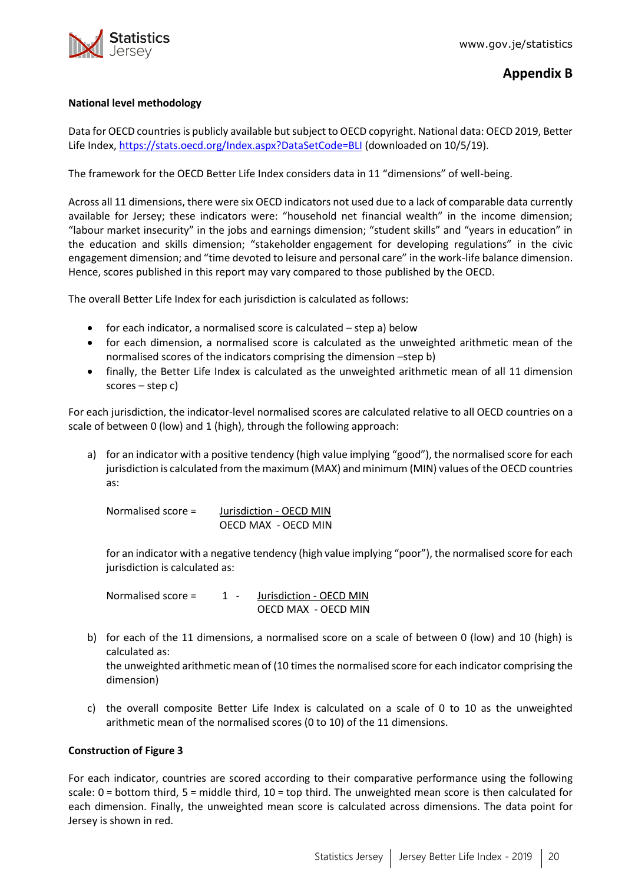

#### <span id="page-19-0"></span>**National level methodology**

Data for OECD countries is publicly available but subject to OECD copyright. National data: OECD 2019, Better Life Index[, https://stats.oecd.org/Index.aspx?DataSetCode=BLI](https://stats.oecd.org/Index.aspx?DataSetCode=BLI) (downloaded on 10/5/19).

The framework for the OECD Better Life Index considers data in 11 "dimensions" of well-being.

Across all 11 dimensions, there were six OECD indicators not used due to a lack of comparable data currently available for Jersey; these indicators were: "household net financial wealth" in the income dimension; "labour market insecurity" in the jobs and earnings dimension; "student skills" and "years in education" in the education and skills dimension; "stakeholder engagement for developing regulations" in the civic engagement dimension; and "time devoted to leisure and personal care" in the work-life balance dimension. Hence, scores published in this report may vary compared to those published by the OECD.

The overall Better Life Index for each jurisdiction is calculated as follows:

- for each indicator, a normalised score is calculated step a) below
- for each dimension, a normalised score is calculated as the unweighted arithmetic mean of the normalised scores of the indicators comprising the dimension –step b)
- finally, the Better Life Index is calculated as the unweighted arithmetic mean of all 11 dimension scores – step c)

For each jurisdiction, the indicator-level normalised scores are calculated relative to all OECD countries on a scale of between 0 (low) and 1 (high), through the following approach:

a) for an indicator with a positive tendency (high value implying "good"), the normalised score for each jurisdiction is calculated from the maximum (MAX) and minimum (MIN) values of the OECD countries as:

Normalised score = Jurisdiction - OECD MIN OECD MAX - OECD MIN

for an indicator with a negative tendency (high value implying "poor"), the normalised score for each jurisdiction is calculated as:

Normalised score = 1 - Jurisdiction - OECD MIN OECD MAX - OECD MIN

b) for each of the 11 dimensions, a normalised score on a scale of between 0 (low) and 10 (high) is calculated as:

the unweighted arithmetic mean of (10 times the normalised score for each indicator comprising the dimension)

c) the overall composite Better Life Index is calculated on a scale of 0 to 10 as the unweighted arithmetic mean of the normalised scores (0 to 10) of the 11 dimensions.

#### **Construction of Figure 3**

For each indicator, countries are scored according to their comparative performance using the following scale: 0 = bottom third, 5 = middle third, 10 = top third. The unweighted mean score is then calculated for each dimension. Finally, the unweighted mean score is calculated across dimensions. The data point for Jersey is shown in red.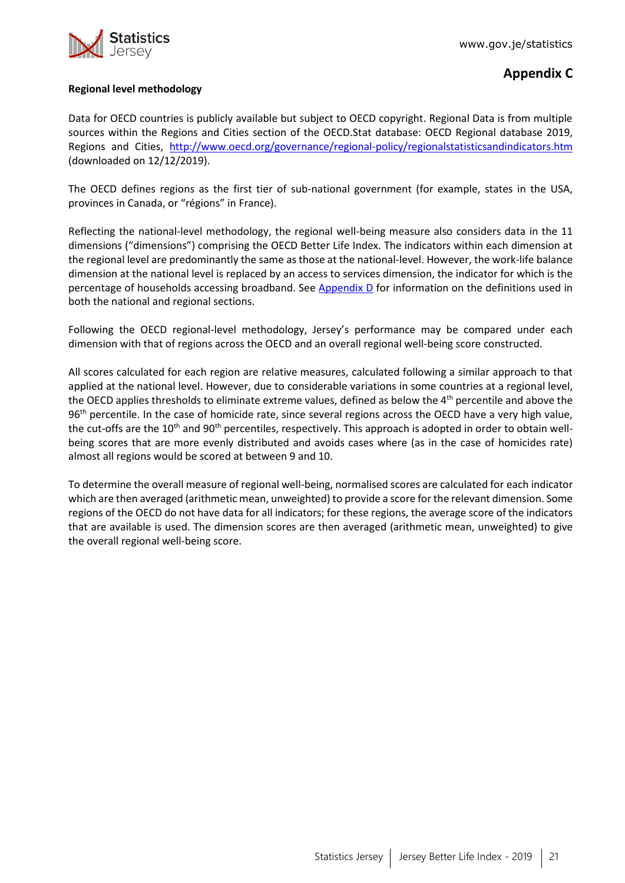

# **Appendix C**

#### **Regional level methodology**

Data for OECD countries is publicly available but subject to OECD copyright. Regional Data is from multiple sources within the Regions and Cities section of the OECD.Stat database: OECD Regional database 2019, Regions and Cities, <http://www.oecd.org/governance/regional-policy/regionalstatisticsandindicators.htm> (downloaded on 12/12/2019).

The OECD defines regions as the first tier of sub-national government (for example, states in the USA, provinces in Canada, or "régions" in France).

Reflecting the national-level methodology, the regional well-being measure also considers data in the 11 dimensions ("dimensions") comprising the OECD Better Life Index. The indicators within each dimension at the regional level are predominantly the same as those at the national-level. However, the work-life balance dimension at the national level is replaced by an access to services dimension, the indicator for which is the percentage of households accessing broadband. See Appendix  $D$  for information on the definitions used in both the national and regional sections.

Following the OECD regional-level methodology, Jersey's performance may be compared under each dimension with that of regions across the OECD and an overall regional well-being score constructed.

All scores calculated for each region are relative measures, calculated following a similar approach to that applied at the national level. However, due to considerable variations in some countries at a regional level, the OECD applies thresholds to eliminate extreme values, defined as below the 4<sup>th</sup> percentile and above the 96<sup>th</sup> percentile. In the case of homicide rate, since several regions across the OECD have a very high value, the cut-offs are the 10<sup>th</sup> and 90<sup>th</sup> percentiles, respectively. This approach is adopted in order to obtain wellbeing scores that are more evenly distributed and avoids cases where (as in the case of homicides rate) almost all regions would be scored at between 9 and 10.

To determine the overall measure of regional well-being, normalised scores are calculated for each indicator which are then averaged (arithmetic mean, unweighted) to provide a score for the relevant dimension. Some regions of the OECD do not have data for all indicators; for these regions, the average score of the indicators that are available is used. The dimension scores are then averaged (arithmetic mean, unweighted) to give the overall regional well-being score.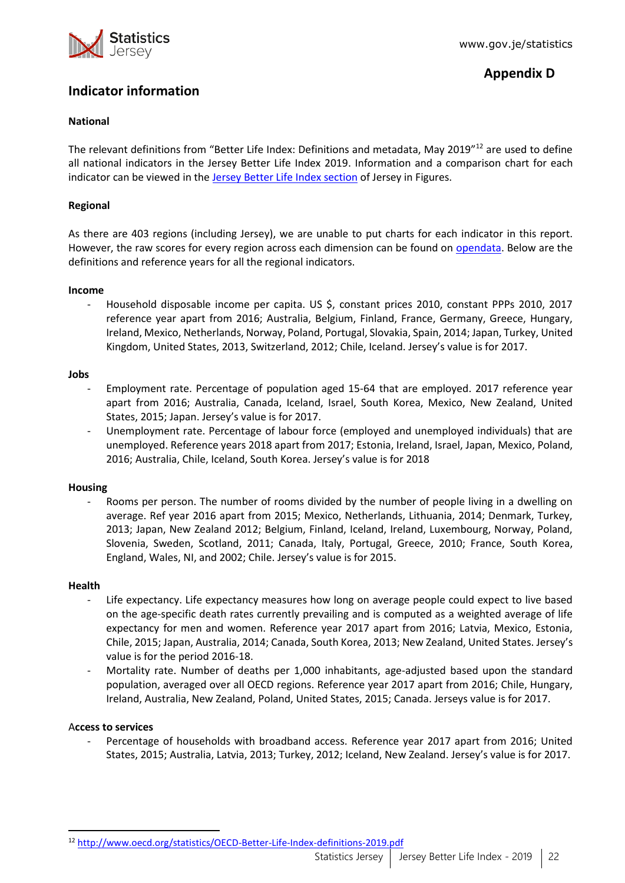

# **Appendix D**

# <span id="page-21-1"></span><span id="page-21-0"></span>**Indicator information**

#### **National**

The relevant definitions from "Better Life Index: Definitions and metadata, May 2019"<sup>12</sup> are used to define all national indicators in the Jersey Better Life Index 2019. Information and a comparison chart for each indicator can be viewed in the [Jersey Better Life Index section](https://www.gov.je/Government/JerseyInFigures/HousingLiving/Pages/BetterLifeIndex.aspx) of Jersey in Figures.

#### **Regional**

As there are 403 regions (including Jersey), we are unable to put charts for each indicator in this report. However, the raw scores for every region across each dimension can be found on [opendata.](https://opendata.gov.je/dataset/better-life-index) Below are the definitions and reference years for all the regional indicators.

#### **Income**

Household disposable income per capita. US \$, constant prices 2010, constant PPPs 2010, 2017 reference year apart from 2016; Australia, Belgium, Finland, France, Germany, Greece, Hungary, Ireland, Mexico, Netherlands, Norway, Poland, Portugal, Slovakia, Spain, 2014; Japan, Turkey, United Kingdom, United States, 2013, Switzerland, 2012; Chile, Iceland. Jersey's value is for 2017.

#### **Jobs**

- Employment rate. Percentage of population aged 15-64 that are employed. 2017 reference year apart from 2016; Australia, Canada, Iceland, Israel, South Korea, Mexico, New Zealand, United States, 2015; Japan. Jersey's value is for 2017.
- Unemployment rate. Percentage of labour force (employed and unemployed individuals) that are unemployed. Reference years 2018 apart from 2017; Estonia, Ireland, Israel, Japan, Mexico, Poland, 2016; Australia, Chile, Iceland, South Korea. Jersey's value is for 2018

#### **Housing**

Rooms per person. The number of rooms divided by the number of people living in a dwelling on average. Ref year 2016 apart from 2015; Mexico, Netherlands, Lithuania, 2014; Denmark, Turkey, 2013; Japan, New Zealand 2012; Belgium, Finland, Iceland, Ireland, Luxembourg, Norway, Poland, Slovenia, Sweden, Scotland, 2011; Canada, Italy, Portugal, Greece, 2010; France, South Korea, England, Wales, NI, and 2002; Chile. Jersey's value is for 2015.

#### **Health**

- Life expectancy. Life expectancy measures how long on average people could expect to live based on the age-specific death rates currently prevailing and is computed as a weighted average of life expectancy for men and women. Reference year 2017 apart from 2016; Latvia, Mexico, Estonia, Chile, 2015; Japan, Australia, 2014; Canada, South Korea, 2013; New Zealand, United States. Jersey's value is for the period 2016-18.
- Mortality rate. Number of deaths per 1,000 inhabitants, age-adjusted based upon the standard population, averaged over all OECD regions. Reference year 2017 apart from 2016; Chile, Hungary, Ireland, Australia, New Zealand, Poland, United States, 2015; Canada. Jerseys value is for 2017.

#### A**ccess to services**

Percentage of households with broadband access. Reference year 2017 apart from 2016; United States, 2015; Australia, Latvia, 2013; Turkey, 2012; Iceland, New Zealand. Jersey's value is for 2017.

 $\overline{a}$ <sup>12</sup> <http://www.oecd.org/statistics/OECD-Better-Life-Index-definitions-2019.pdf>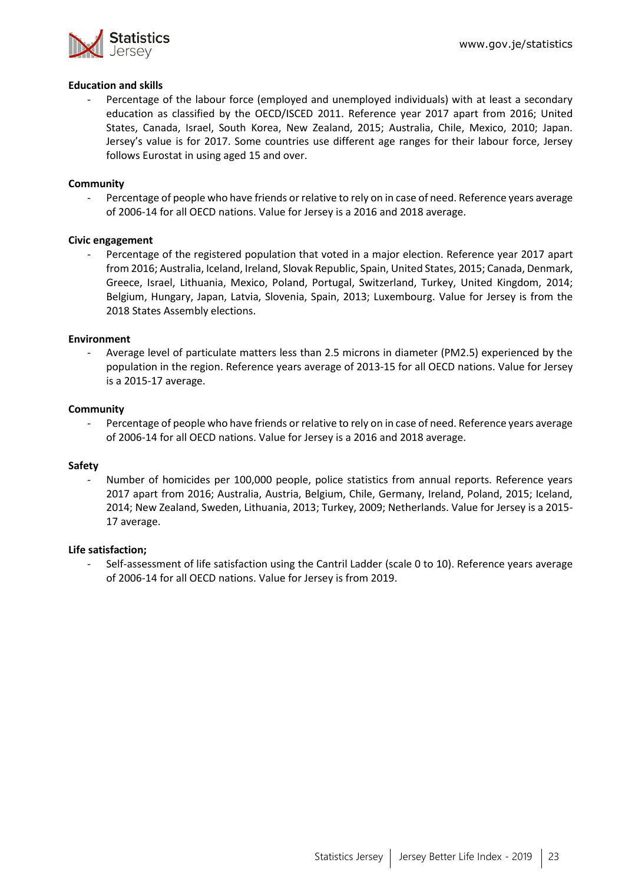

#### **Education and skills**

Percentage of the labour force (employed and unemployed individuals) with at least a secondary education as classified by the OECD/ISCED 2011. Reference year 2017 apart from 2016; United States, Canada, Israel, South Korea, New Zealand, 2015; Australia, Chile, Mexico, 2010; Japan. Jersey's value is for 2017. Some countries use different age ranges for their labour force, Jersey follows Eurostat in using aged 15 and over.

#### **Community**

Percentage of people who have friends or relative to rely on in case of need. Reference years average of 2006-14 for all OECD nations. Value for Jersey is a 2016 and 2018 average.

#### **Civic engagement**

- Percentage of the registered population that voted in a major election. Reference year 2017 apart from 2016; Australia, Iceland, Ireland, Slovak Republic, Spain, United States, 2015; Canada, Denmark, Greece, Israel, Lithuania, Mexico, Poland, Portugal, Switzerland, Turkey, United Kingdom, 2014; Belgium, Hungary, Japan, Latvia, Slovenia, Spain, 2013; Luxembourg. Value for Jersey is from the 2018 States Assembly elections.

#### **Environment**

Average level of particulate matters less than 2.5 microns in diameter (PM2.5) experienced by the population in the region. Reference years average of 2013-15 for all OECD nations. Value for Jersey is a 2015-17 average.

#### **Community**

Percentage of people who have friends or relative to rely on in case of need. Reference years average of 2006-14 for all OECD nations. Value for Jersey is a 2016 and 2018 average.

#### **Safety**

Number of homicides per 100,000 people, police statistics from annual reports. Reference years 2017 apart from 2016; Australia, Austria, Belgium, Chile, Germany, Ireland, Poland, 2015; Iceland, 2014; New Zealand, Sweden, Lithuania, 2013; Turkey, 2009; Netherlands. Value for Jersey is a 2015- 17 average.

#### **Life satisfaction;**

Self-assessment of life satisfaction using the Cantril Ladder (scale 0 to 10). Reference years average of 2006-14 for all OECD nations. Value for Jersey is from 2019.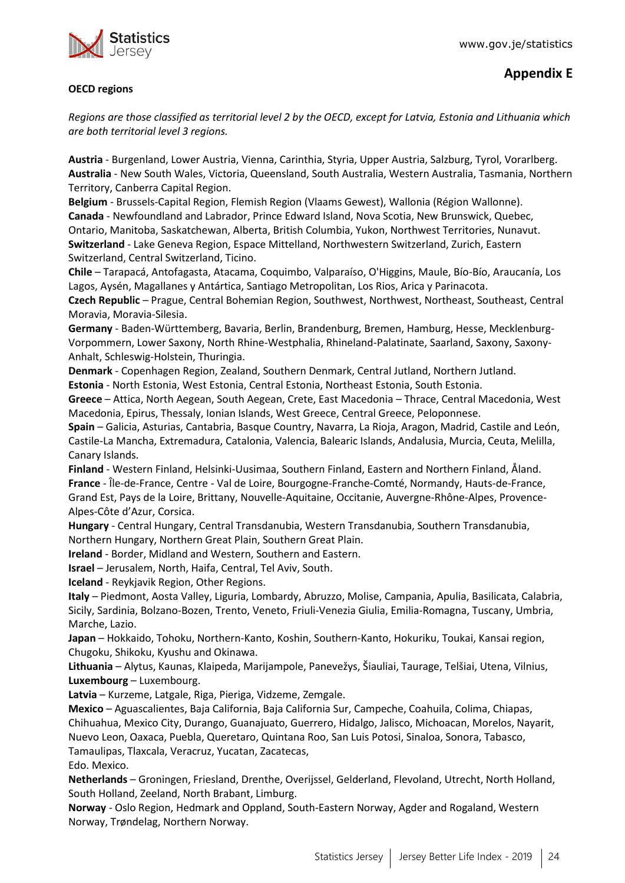

#### **OECD regions**

*Regions are those classified as territorial level 2 by the OECD, except for Latvia, Estonia and Lithuania which are both territorial level 3 regions.*

**Austria** - Burgenland, Lower Austria, Vienna, Carinthia, Styria, Upper Austria, Salzburg, Tyrol, Vorarlberg. **Australia** - New South Wales, Victoria, Queensland, South Australia, Western Australia, Tasmania, Northern Territory, Canberra Capital Region.

**Belgium** - Brussels-Capital Region, Flemish Region (Vlaams Gewest), Wallonia (Région Wallonne). **Canada** - Newfoundland and Labrador, Prince Edward Island, Nova Scotia, New Brunswick, Quebec, Ontario, Manitoba, Saskatchewan, Alberta, British Columbia, Yukon, Northwest Territories, Nunavut. **Switzerland** - Lake Geneva Region, Espace Mittelland, Northwestern Switzerland, Zurich, Eastern Switzerland, Central Switzerland, Ticino.

**Chile** – Tarapacá, Antofagasta, Atacama, Coquimbo, Valparaíso, O'Higgins, Maule, Bío-Bío, Araucanía, Los Lagos, Aysén, Magallanes y Antártica, Santiago Metropolitan, Los Rios, Arica y Parinacota.

**Czech Republic** – Prague, Central Bohemian Region, Southwest, Northwest, Northeast, Southeast, Central Moravia, Moravia-Silesia.

**Germany** - Baden-Württemberg, Bavaria, Berlin, Brandenburg, Bremen, Hamburg, Hesse, Mecklenburg-Vorpommern, Lower Saxony, North Rhine-Westphalia, Rhineland-Palatinate, Saarland, Saxony, Saxony-Anhalt, Schleswig-Holstein, Thuringia.

**Denmark** - Copenhagen Region, Zealand, Southern Denmark, Central Jutland, Northern Jutland. **Estonia** - North Estonia, West Estonia, Central Estonia, Northeast Estonia, South Estonia.

**Greece** – Attica, North Aegean, South Aegean, Crete, East Macedonia – Thrace, Central Macedonia, West Macedonia, Epirus, Thessaly, Ionian Islands, West Greece, Central Greece, Peloponnese.

**Spain** – Galicia, Asturias, Cantabria, Basque Country, Navarra, La Rioja, Aragon, Madrid, Castile and León, Castile-La Mancha, Extremadura, Catalonia, Valencia, Balearic Islands, Andalusia, Murcia, Ceuta, Melilla, Canary Islands.

**Finland** - Western Finland, Helsinki-Uusimaa, Southern Finland, Eastern and Northern Finland, Åland. **France** - Île-de-France, Centre - Val de Loire, Bourgogne-Franche-Comté, Normandy, Hauts-de-France, Grand Est, Pays de la Loire, Brittany, Nouvelle-Aquitaine, Occitanie, Auvergne-Rhône-Alpes, Provence-Alpes-Côte d'Azur, Corsica.

**Hungary** - Central Hungary, Central Transdanubia, Western Transdanubia, Southern Transdanubia, Northern Hungary, Northern Great Plain, Southern Great Plain.

**Ireland** - Border, Midland and Western, Southern and Eastern.

**Israel** – Jerusalem, North, Haifa, Central, Tel Aviv, South.

**Iceland** - Reykjavik Region, Other Regions.

**Italy** – Piedmont, Aosta Valley, Liguria, Lombardy, Abruzzo, Molise, Campania, Apulia, Basilicata, Calabria, Sicily, Sardinia, Bolzano-Bozen, Trento, Veneto, Friuli-Venezia Giulia, Emilia-Romagna, Tuscany, Umbria, Marche, Lazio.

**Japan** – Hokkaido, Tohoku, Northern-Kanto, Koshin, Southern-Kanto, Hokuriku, Toukai, Kansai region, Chugoku, Shikoku, Kyushu and Okinawa.

**Lithuania** – Alytus, Kaunas, Klaipeda, Marijampole, Panevežys, Šiauliai, Taurage, Telšiai, Utena, Vilnius, **Luxembourg** – Luxembourg.

**Latvia** – Kurzeme, Latgale, Riga, Pieriga, Vidzeme, Zemgale.

**Mexico** – Aguascalientes, Baja California, Baja California Sur, Campeche, Coahuila, Colima, Chiapas, Chihuahua, Mexico City, Durango, Guanajuato, Guerrero, Hidalgo, Jalisco, Michoacan, Morelos, Nayarit, Nuevo Leon, Oaxaca, Puebla, Queretaro, Quintana Roo, San Luis Potosi, Sinaloa, Sonora, Tabasco, Tamaulipas, Tlaxcala, Veracruz, Yucatan, Zacatecas, Edo. Mexico.

**Netherlands** – Groningen, Friesland, Drenthe, Overijssel, Gelderland, Flevoland, Utrecht, North Holland, South Holland, Zeeland, North Brabant, Limburg.

**Norway** - Oslo Region, Hedmark and Oppland, South-Eastern Norway, Agder and Rogaland, Western Norway, Trøndelag, Northern Norway.